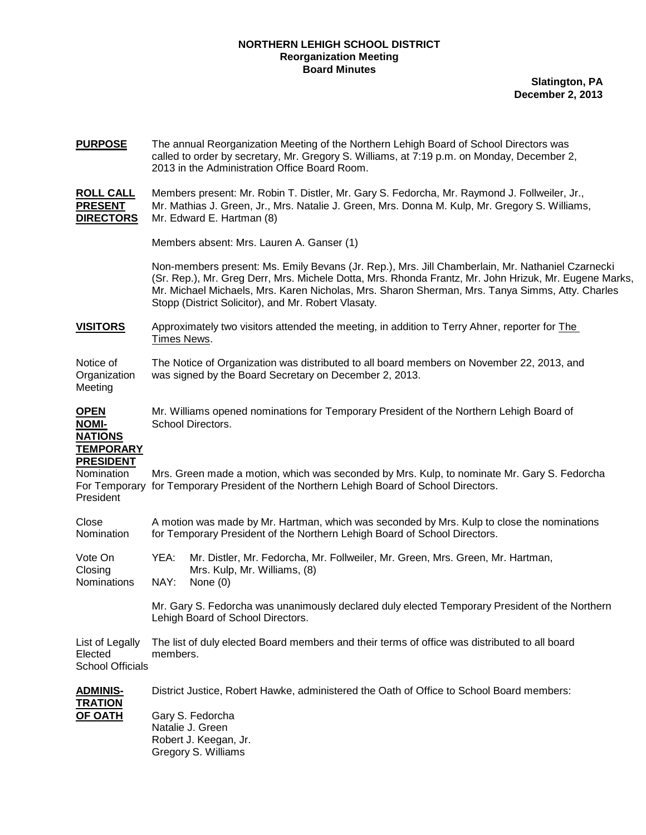## **NORTHERN LEHIGH SCHOOL DISTRICT Reorganization Meeting Board Minutes**

**Slatington, PA December 2, 2013**

| <b>PURPOSE</b>                                                    | The annual Reorganization Meeting of the Northern Lehigh Board of School Directors was<br>called to order by secretary, Mr. Gregory S. Williams, at 7:19 p.m. on Monday, December 2,<br>2013 in the Administration Office Board Room.                                                                                                                               |  |  |  |  |
|-------------------------------------------------------------------|---------------------------------------------------------------------------------------------------------------------------------------------------------------------------------------------------------------------------------------------------------------------------------------------------------------------------------------------------------------------|--|--|--|--|
| <b>ROLL CALL</b><br><b>PRESENT</b><br><b>DIRECTORS</b>            | Members present: Mr. Robin T. Distler, Mr. Gary S. Fedorcha, Mr. Raymond J. Follweiler, Jr.,<br>Mr. Mathias J. Green, Jr., Mrs. Natalie J. Green, Mrs. Donna M. Kulp, Mr. Gregory S. Williams,<br>Mr. Edward E. Hartman (8)                                                                                                                                         |  |  |  |  |
|                                                                   | Members absent: Mrs. Lauren A. Ganser (1)                                                                                                                                                                                                                                                                                                                           |  |  |  |  |
|                                                                   | Non-members present: Ms. Emily Bevans (Jr. Rep.), Mrs. Jill Chamberlain, Mr. Nathaniel Czarnecki<br>(Sr. Rep.), Mr. Greg Derr, Mrs. Michele Dotta, Mrs. Rhonda Frantz, Mr. John Hrizuk, Mr. Eugene Marks,<br>Mr. Michael Michaels, Mrs. Karen Nicholas, Mrs. Sharon Sherman, Mrs. Tanya Simms, Atty. Charles<br>Stopp (District Solicitor), and Mr. Robert Vlasaty. |  |  |  |  |
| <b>VISITORS</b>                                                   | Approximately two visitors attended the meeting, in addition to Terry Ahner, reporter for The<br>Times News.                                                                                                                                                                                                                                                        |  |  |  |  |
| Notice of<br>Organization<br>Meeting                              | The Notice of Organization was distributed to all board members on November 22, 2013, and<br>was signed by the Board Secretary on December 2, 2013.                                                                                                                                                                                                                 |  |  |  |  |
| <b>OPEN</b><br><b>NOMI-</b><br><b>NATIONS</b><br><b>TEMPORARY</b> | Mr. Williams opened nominations for Temporary President of the Northern Lehigh Board of<br>School Directors.                                                                                                                                                                                                                                                        |  |  |  |  |
| <b>PRESIDENT</b><br>Nomination<br>For Temporary<br>President      | Mrs. Green made a motion, which was seconded by Mrs. Kulp, to nominate Mr. Gary S. Fedorcha<br>for Temporary President of the Northern Lehigh Board of School Directors.                                                                                                                                                                                            |  |  |  |  |
| Close<br>Nomination                                               | A motion was made by Mr. Hartman, which was seconded by Mrs. Kulp to close the nominations<br>for Temporary President of the Northern Lehigh Board of School Directors.                                                                                                                                                                                             |  |  |  |  |
| Vote On<br>Closing<br>Nominations                                 | Mr. Distler, Mr. Fedorcha, Mr. Follweiler, Mr. Green, Mrs. Green, Mr. Hartman,<br>YEA:<br>Mrs. Kulp, Mr. Williams, (8)<br>NAY:<br>None $(0)$                                                                                                                                                                                                                        |  |  |  |  |
|                                                                   | Mr. Gary S. Fedorcha was unanimously declared duly elected Temporary President of the Northern<br>Lehigh Board of School Directors.                                                                                                                                                                                                                                 |  |  |  |  |
| List of Legally<br>Elected<br><b>School Officials</b>             | The list of duly elected Board members and their terms of office was distributed to all board<br>members.                                                                                                                                                                                                                                                           |  |  |  |  |
| <b>ADMINIS-</b>                                                   | District Justice, Robert Hawke, administered the Oath of Office to School Board members:                                                                                                                                                                                                                                                                            |  |  |  |  |
| <b>TRATION</b><br><b>OF OATH</b>                                  | Gary S. Fedorcha<br>Natalie J. Green<br>Robert J. Keegan, Jr.<br>Gregory S. Williams                                                                                                                                                                                                                                                                                |  |  |  |  |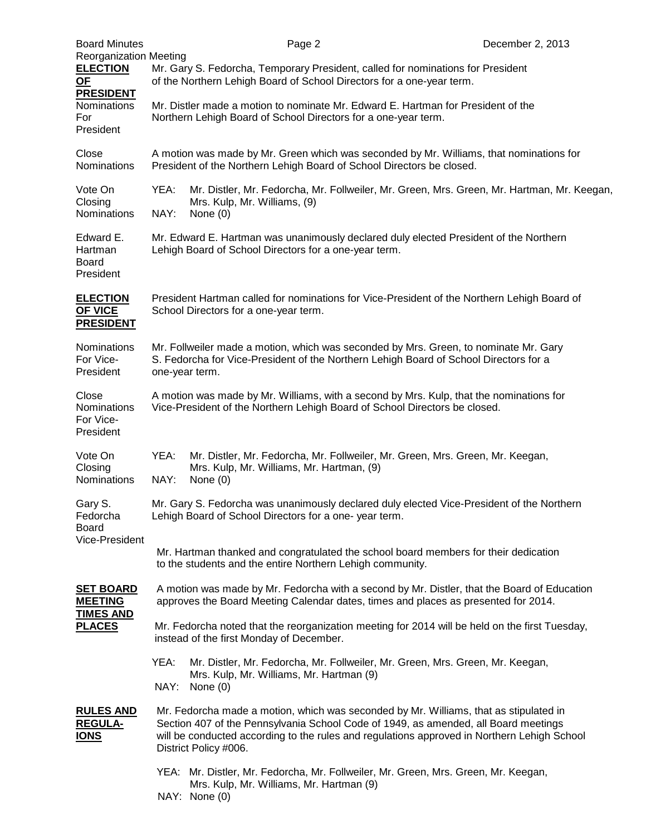| <b>Board Minutes</b>                                                         |                                                                                                                                                                                                                                                                                                      | Page 2                                                    |  | December 2, 2013                                                                   |  |  |
|------------------------------------------------------------------------------|------------------------------------------------------------------------------------------------------------------------------------------------------------------------------------------------------------------------------------------------------------------------------------------------------|-----------------------------------------------------------|--|------------------------------------------------------------------------------------|--|--|
| <b>Reorganization Meeting</b><br><b>ELECTION</b><br>$OF$<br><b>PRESIDENT</b> | Mr. Gary S. Fedorcha, Temporary President, called for nominations for President<br>of the Northern Lehigh Board of School Directors for a one-year term.                                                                                                                                             |                                                           |  |                                                                                    |  |  |
| Nominations<br>For<br>President                                              | Mr. Distler made a motion to nominate Mr. Edward E. Hartman for President of the<br>Northern Lehigh Board of School Directors for a one-year term.                                                                                                                                                   |                                                           |  |                                                                                    |  |  |
| Close<br><b>Nominations</b>                                                  | A motion was made by Mr. Green which was seconded by Mr. Williams, that nominations for<br>President of the Northern Lehigh Board of School Directors be closed.                                                                                                                                     |                                                           |  |                                                                                    |  |  |
| Vote On<br>Closing<br>Nominations                                            | YEA:<br>Mr. Distler, Mr. Fedorcha, Mr. Follweiler, Mr. Green, Mrs. Green, Mr. Hartman, Mr. Keegan,<br>Mrs. Kulp, Mr. Williams, (9)<br>NAY:<br>None $(0)$                                                                                                                                             |                                                           |  |                                                                                    |  |  |
| Edward E.<br>Hartman<br><b>Board</b><br>President                            | Mr. Edward E. Hartman was unanimously declared duly elected President of the Northern<br>Lehigh Board of School Directors for a one-year term.                                                                                                                                                       |                                                           |  |                                                                                    |  |  |
| <b>ELECTION</b><br><b>OF VICE</b><br><b>PRESIDENT</b>                        | President Hartman called for nominations for Vice-President of the Northern Lehigh Board of<br>School Directors for a one-year term.                                                                                                                                                                 |                                                           |  |                                                                                    |  |  |
| <b>Nominations</b><br>For Vice-<br>President                                 | Mr. Follweiler made a motion, which was seconded by Mrs. Green, to nominate Mr. Gary<br>S. Fedorcha for Vice-President of the Northern Lehigh Board of School Directors for a<br>one-year term.                                                                                                      |                                                           |  |                                                                                    |  |  |
| Close<br>Nominations<br>For Vice-<br>President                               | A motion was made by Mr. Williams, with a second by Mrs. Kulp, that the nominations for<br>Vice-President of the Northern Lehigh Board of School Directors be closed.                                                                                                                                |                                                           |  |                                                                                    |  |  |
| Vote On<br>Closing<br>Nominations                                            | YEA:<br>NAY:                                                                                                                                                                                                                                                                                         | Mrs. Kulp, Mr. Williams, Mr. Hartman, (9)<br>None $(0)$   |  | Mr. Distler, Mr. Fedorcha, Mr. Follweiler, Mr. Green, Mrs. Green, Mr. Keegan,      |  |  |
| Gary S.<br>Fedorcha<br><b>Board</b><br>Vice-President                        | Mr. Gary S. Fedorcha was unanimously declared duly elected Vice-President of the Northern<br>Lehigh Board of School Directors for a one-year term.                                                                                                                                                   |                                                           |  |                                                                                    |  |  |
|                                                                              | Mr. Hartman thanked and congratulated the school board members for their dedication<br>to the students and the entire Northern Lehigh community.                                                                                                                                                     |                                                           |  |                                                                                    |  |  |
| <b>SET BOARD</b><br><b>MEETING</b><br><b>TIMES AND</b><br><b>PLACES</b>      | A motion was made by Mr. Fedorcha with a second by Mr. Distler, that the Board of Education<br>approves the Board Meeting Calendar dates, times and places as presented for 2014.                                                                                                                    |                                                           |  |                                                                                    |  |  |
|                                                                              | Mr. Fedorcha noted that the reorganization meeting for 2014 will be held on the first Tuesday,<br>instead of the first Monday of December.                                                                                                                                                           |                                                           |  |                                                                                    |  |  |
|                                                                              | YEA:<br>NAY:                                                                                                                                                                                                                                                                                         | Mrs. Kulp, Mr. Williams, Mr. Hartman (9)<br>None $(0)$    |  | Mr. Distler, Mr. Fedorcha, Mr. Follweiler, Mr. Green, Mrs. Green, Mr. Keegan,      |  |  |
| <b>RULES AND</b><br><b>REGULA-</b><br><b>IONS</b>                            | Mr. Fedorcha made a motion, which was seconded by Mr. Williams, that as stipulated in<br>Section 407 of the Pennsylvania School Code of 1949, as amended, all Board meetings<br>will be conducted according to the rules and regulations approved in Northern Lehigh School<br>District Policy #006. |                                                           |  |                                                                                    |  |  |
|                                                                              |                                                                                                                                                                                                                                                                                                      | Mrs. Kulp, Mr. Williams, Mr. Hartman (9)<br>NAY: None (0) |  | YEA: Mr. Distler, Mr. Fedorcha, Mr. Follweiler, Mr. Green, Mrs. Green, Mr. Keegan, |  |  |